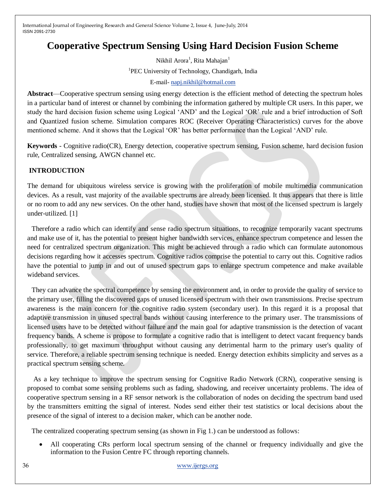# **Cooperative Spectrum Sensing Using Hard Decision Fusion Scheme**

Nikhil Arora<sup>1</sup>, Rita Mahajan<sup>1</sup> <sup>1</sup>PEC University of Technology, Chandigarh, India E-mail- [napj.nikhil@hotmail.com](mailto:napj.nikhil@hotmail.com)

**Abstract**—Cooperative spectrum sensing using energy detection is the efficient method of detecting the spectrum holes in a particular band of interest or channel by combining the information gathered by multiple CR users. In this paper, we study the hard decision fusion scheme using Logical ‗AND' and the Logical ‗OR' rule and a brief introduction of Soft and Quantized fusion scheme. Simulation compares ROC (Receiver Operating Characteristics) curves for the above mentioned scheme. And it shows that the Logical 'OR' has better performance than the Logical 'AND' rule.

**Keywords** - Cognitive radio(CR), Energy detection, cooperative spectrum sensing, Fusion scheme, hard decision fusion rule, Centralized sensing, AWGN channel etc.

# **INTRODUCTION**

The demand for ubiquitous wireless service is growing with the proliferation of mobile multimedia communication devices. As a result, vast majority of the available spectrums are already been licensed. It thus appears that there is little or no room to add any new services. On the other hand, studies have shown that most of the licensed spectrum is largely under-utilized. [1]

Therefore a radio which can identify and sense radio spectrum situations, to recognize temporarily vacant spectrums and make use of it, has the potential to present higher bandwidth services, enhance spectrum competence and lessen the need for centralized spectrum organization. This might be achieved through a radio which can formulate autonomous decisions regarding how it accesses spectrum. Cognitive radios comprise the potential to carry out this. Cognitive radios have the potential to jump in and out of unused spectrum gaps to enlarge spectrum competence and make available wideband services.

They can advance the spectral competence by sensing the environment and, in order to provide the quality of service to the primary user, filling the discovered gaps of unused licensed spectrum with their own transmissions. Precise spectrum awareness is the main concern for the cognitive radio system (secondary user). In this regard it is a proposal that adaptive transmission in unused spectral bands without causing interference to the primary user. The transmissions of licensed users have to be detected without failure and the main goal for adaptive transmission is the detection of vacant frequency bands. A scheme is propose to formulate a cognitive radio that is intelligent to detect vacant frequency bands professionally, to get maximum throughput without causing any detrimental harm to the primary user's quality of service. Therefore, a reliable spectrum sensing technique is needed. Energy detection exhibits simplicity and serves as a practical spectrum sensing scheme.

As a key technique to improve the spectrum sensing for Cognitive Radio Network (CRN), cooperative sensing is proposed to combat some sensing problems such as fading, shadowing, and receiver uncertainty problems. The idea of cooperative spectrum sensing in a RF sensor network is the collaboration of nodes on deciding the spectrum band used by the transmitters emitting the signal of interest. Nodes send either their test statistics or local decisions about the presence of the signal of interest to a decision maker, which can be another node.

The centralized cooperating spectrum sensing (as shown in Fig 1.) can be understood as follows:

 All cooperating CRs perform local spectrum sensing of the channel or frequency individually and give the information to the Fusion Centre FC through reporting channels.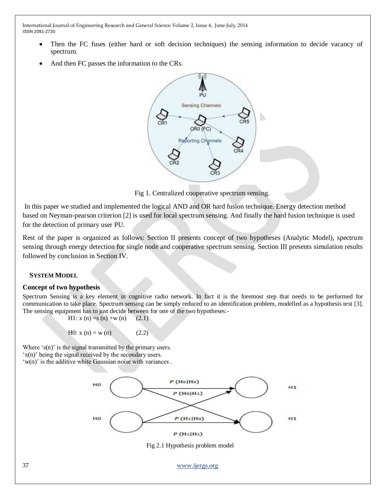- Then the FC fuses (either hard or soft decision techniques) the sensing information to decide vacancy of spectrum.
- And then FC passes the information to the CRs.



Fig 1. Centralized cooperative spectrum sensing.

In this paper we studied and implemented the logical AND and OR hard fusion technique. Energy detection method based on Neyman-pearson criterion [2] is used for local spectrum sensing. And finally the hard fusion technique is used for the detection of primary user PU.

Rest of the paper is organized as follows: Section II presents concept of two hypotheses (Analytic Model), spectrum sensing through energy detection for single node and cooperative spectrum sensing. Section III presents simulation results followed by conclusion in Section IV.

# **SYSTEM MODEL**

## **Concept of two hypothesis**

Spectrum Sensing is a key element in cognitive radio network. In fact it is the foremost step that needs to be performed for communication to take place. Spectrum sensing can be simply reduced to an identification problem, modelled as a hypothesis test [3]. The sensing equipment has to just decide between for one of the two hypotheses:-

H1: 
$$
x(n) = s(n) + w(n)
$$
 (2.1)

$$
H0: x(n) = w(n)
$$
 (2.2)

Where  $\sin$  is the signal transmitted by the primary users.

‗x(n)' being the signal received by the secondary users.

 $(w(n))$  is the additive white Gaussian noise with variances.

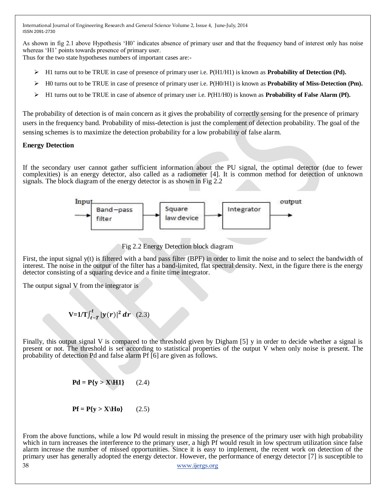As shown in fig 2.1 above Hypothesis 'H0' indicates absence of primary user and that the frequency band of interest only has noise whereas 'H1' points towards presence of primary user.

Thus for the two state hypotheses numbers of important cases are:-

- H1 turns out to be TRUE in case of presence of primary user i.e. P(H1/H1) is known as **Probability of Detection (Pd).**
- $\triangleright$  H0 turns out to be TRUE in case of presence of primary user i.e.  $P(H0/H1)$  is known as **Probability of Miss-Detection (Pm).**
- H1 turns out to be TRUE in case of absence of primary user i.e. P(H1/H0) is known as **Probability of False Alarm (Pf).**

The probability of detection is of main concern as it gives the probability of correctly sensing for the presence of primary users in the frequency band. Probability of miss-detection is just the complement of detection probability. The goal of the sensing schemes is to maximize the detection probability for a low probability of false alarm.

## **Energy Detection**

If the secondary user cannot gather sufficient information about the PU signal, the optimal detector (due to fewer complexities) is an energy detector, also called as a radiometer [4]. It is common method for detection of unknown signals. The block diagram of the energy detector is as shown in Fig 2.2



Fig 2.2 Energy Detection block diagram

First, the input signal y(t) is filtered with a band pass filter (BPF) in order to limit the noise and to select the bandwidth of interest. The noise in the output of the filter has a band-limited, flat spectral density. Next, in the figure there is the energy detector consisting of a squaring device and a finite time integrator.

The output signal V from the integrator is

$$
V=1/T \int_{t-T}^{t} |y(r)|^2 dr \quad (2.3)
$$

Finally, this output signal V is compared to the threshold given by Digham [5] y in order to decide whether a signal is present or not. The threshold is set according to statistical properties of the output V when only noise is present. The probability of detection Pd and false alarm Pf [6] are given as follows.

$$
\mathbf{Pd} = \mathbf{P}\{\mathbf{y} > \mathbf{X} \setminus \mathbf{H1}\} \tag{2.4}
$$

$$
Pf = P\{y > X|Ho\} \qquad (2.5)
$$

38 [www.ijergs.org](http://www.ijergs.org/) From the above functions, while a low Pd would result in missing the presence of the primary user with high probability which in turn increases the interference to the primary user, a high Pf would result in low spectrum utilization since false alarm increase the number of missed opportunities. Since it is easy to implement, the recent work on detection of the primary user has generally adopted the energy detector. However, the performance of energy detector [7] is susceptible to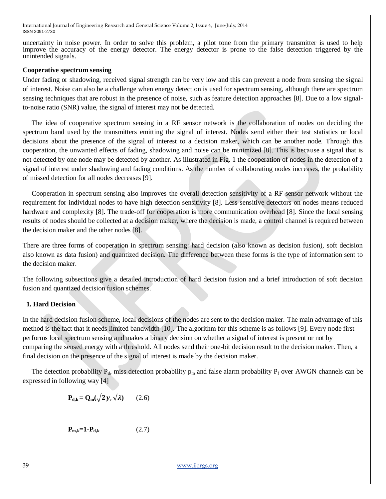uncertainty in noise power. In order to solve this problem, a pilot tone from the primary transmitter is used to help improve the accuracy of the energy detector. The energy detector is prone to the false detection triggered by the unintended signals.

#### **Cooperative spectrum sensing**

Under fading or shadowing, received signal strength can be very low and this can prevent a node from sensing the signal of interest. Noise can also be a challenge when energy detection is used for spectrum sensing, although there are spectrum sensing techniques that are robust in the presence of noise, such as feature detection approaches [8]. Due to a low signalto-noise ratio (SNR) value, the signal of interest may not be detected.

The idea of cooperative spectrum sensing in a RF sensor network is the collaboration of nodes on deciding the spectrum band used by the transmitters emitting the signal of interest. Nodes send either their test statistics or local decisions about the presence of the signal of interest to a decision maker, which can be another node. Through this cooperation, the unwanted effects of fading, shadowing and noise can be minimized [8]. This is because a signal that is not detected by one node may be detected by another. As illustrated in Fig. 1 the cooperation of nodes in the detection of a signal of interest under shadowing and fading conditions. As the number of collaborating nodes increases, the probability of missed detection for all nodes decreases [9].

Cooperation in spectrum sensing also improves the overall detection sensitivity of a RF sensor network without the requirement for individual nodes to have high detection sensitivity [8]. Less sensitive detectors on nodes means reduced hardware and complexity [8]. The trade-off for cooperation is more communication overhead [8]. Since the local sensing results of nodes should be collected at a decision maker, where the decision is made, a control channel is required between the decision maker and the other nodes [8].

There are three forms of cooperation in spectrum sensing: hard decision (also known as decision fusion), soft decision also known as data fusion) and quantized decision. The difference between these forms is the type of information sent to the decision maker.

The following subsections give a detailed introduction of hard decision fusion and a brief introduction of soft decision fusion and quantized decision fusion schemes.

## **1. Hard Decision**

In the hard decision fusion scheme, local decisions of the nodes are sent to the decision maker. The main advantage of this method is the fact that it needs limited bandwidth [10]. The algorithm for this scheme is as follows [9]. Every node first performs local spectrum sensing and makes a binary decision on whether a signal of interest is present or not by comparing the sensed energy with a threshold. All nodes send their one-bit decision result to the decision maker. Then, a final decision on the presence of the signal of interest is made by the decision maker.

The detection probability  $P_d$ , miss detection probability  $p_m$  and false alarm probability  $P_f$  over AWGN channels can be expressed in following way [4]

$$
\mathbf{P}_{\mathbf{d},\mathbf{k}} = \mathbf{Q}_{\mathbf{m}}(\sqrt{2\mathbf{y}}, \sqrt{\lambda}) \qquad (2.6)
$$

$$
\mathbf{P}_{\mathbf{m},\mathbf{k}} = \mathbf{1} \cdot \mathbf{P}_{\mathbf{d},\mathbf{k}} \tag{2.7}
$$

39 [www.ijergs.org](http://www.ijergs.org/)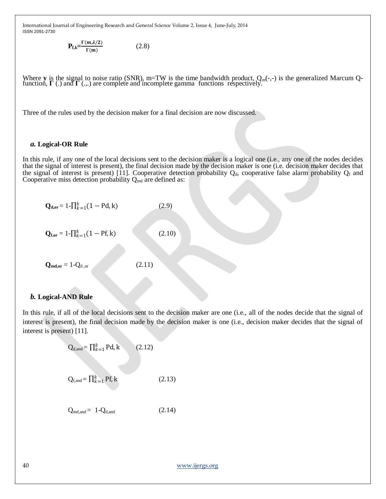> $P_{f,k} = \frac{\Gamma(m,\lambda/2)}{\Gamma(m)}$  $\Gamma$ (m) (2.8)

Where **y** is the signal to noise ratio (SNR), m=TW is the time bandwidth product,  $Q_m(-,.)$  is the generalized Marcum Q-function,  $\Gamma$  (.) and  $\Gamma$  (...) are complete and incomplete gamma functions respectively.

Three of the rules used by the decision maker for a final decision are now discussed.

#### *a.* **Logical-OR Rule**

In this rule, if any one of the local decisions sent to the decision maker is a logical one (i.e., any one of the nodes decides that the signal of interest is present), the final decision made by the decision maker is one (i.e. decision maker decides that the signal of interest is present) [11]. Cooperative detection probability  $Q_d$ , cooperative false alarm probability  $Q_f$  and Cooperative miss detection probability  $Q_{\text{md}}$  are defined as:

$$
Q_{d,or} = 1 - \prod_{k=1}^{k} (1 - Pd, k)
$$
(2.9)  

$$
Q_{f,or} = 1 - \prod_{k=1}^{k} (1 - Pf, k)
$$
(2.10)  

$$
Q_{md,or} = 1 - Q_{d,or}
$$
(2.11)

#### *b.* **Logical-AND Rule**

In this rule, if all of the local decisions sent to the decision maker are one (i.e., all of the nodes decide that the signal of interest is present), the final decision made by the decision maker is one (i.e., decision maker decides that the signal of interest is present) [11].

$$
Q_{d,and} = \prod_{k=1}^{k} Pd, k \qquad (2.12)
$$

$$
Q_{f, \text{and}} = \prod_{k=1}^{k} Pf, k \tag{2.13}
$$

$$
Q_{\text{md},\text{and}} = 1 - Q_{\text{d},\text{and}} \tag{2.14}
$$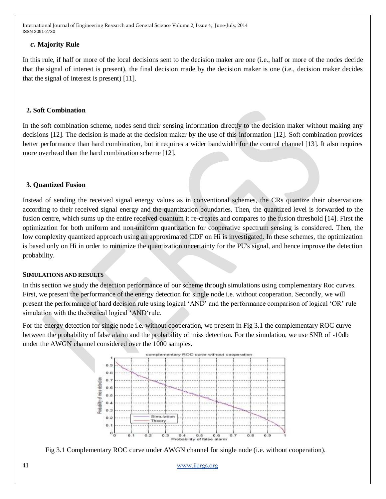## *c.* **Majority Rule**

In this rule, if half or more of the local decisions sent to the decision maker are one (i.e., half or more of the nodes decide that the signal of interest is present), the final decision made by the decision maker is one (i.e., decision maker decides that the signal of interest is present) [11].

## **2. Soft Combination**

In the soft combination scheme, nodes send their sensing information directly to the decision maker without making any decisions [12]. The decision is made at the decision maker by the use of this information [12]. Soft combination provides better performance than hard combination, but it requires a wider bandwidth for the control channel [13]. It also requires more overhead than the hard combination scheme [12].

## **3. Quantized Fusion**

Instead of sending the received signal energy values as in conventional schemes, the CRs quantize their observations according to their received signal energy and the quantization boundaries. Then, the quantized level is forwarded to the fusion centre, which sums up the entire received quantum it re-creates and compares to the fusion threshold [14]. First the optimization for both uniform and non-uniform quantization for cooperative spectrum sensing is considered. Then, the low complexity quantized approach using an approximated CDF on Hi is investigated. In these schemes, the optimization is based only on Hi in order to minimize the quantization uncertainty for the PU's signal, and hence improve the detection probability.

## **SIMULATIONS AND RESULTS**

In this section we study the detection performance of our scheme through simulations using complementary Roc curves. First, we present the performance of the energy detection for single node i.e. without cooperation. Secondly, we will present the performance of hard decision rule using logical 'AND' and the performance comparison of logical 'OR' rule simulation with the theoretical logical 'AND'rule.

For the energy detection for single node i.e. without cooperation, we present in Fig 3.1 the complementary ROC curve between the probability of false alarm and the probability of miss detection. For the simulation, we use SNR of -10db under the AWGN channel considered over the 1000 samples.





41 [www.ijergs.org](http://www.ijergs.org/)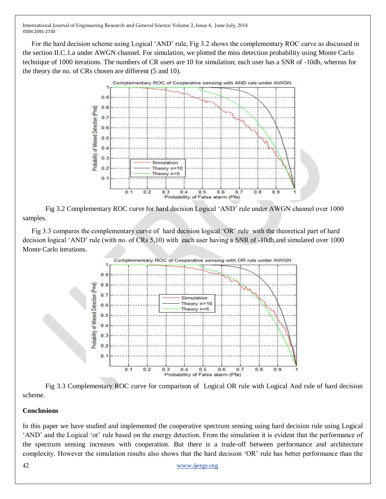For the hard decision scheme using Logical 'AND' rule, Fig 3.2 shows the complementary ROC curve as discussed in the section II.C.1.a under AWGN channel. For simulation, we plotted the miss detection probability using Monte Carlo technique of 1000 iterations. The numbers of CR users are 10 for simulation; each user has a SNR of -10db, whereas for the theory the no. of CRs chosen are different (5 and 10).



Fig 3.2 Complementary ROC curve for hard decision Logical 'AND' rule under AWGN channel over 1000 samples.

Fig 3.3 compares the complementary curve of hard decision logical 'OR' rule with the theoretical part of hard decision logical ‗AND' rule (with no. of CRs 5,10) with each user having a SNR of -10db,and simulated over 1000 Monte Carlo iterations.



Fig 3.3 Complementary ROC curve for comparison of Logical OR rule with Logical And rule of hard decision scheme.

# **Conclusions**

In this paper we have studied and implemented the cooperative spectrum sensing using hard decision rule using Logical ‗AND' and the Logical ‗or' rule based on the energy detection. From the simulation it is evident that the performance of the spectrum sensing increases with cooperation. But there is a trade-off between performance and architecture complexity. However the simulation results also shows that the hard decision 'OR' rule has better performance than the